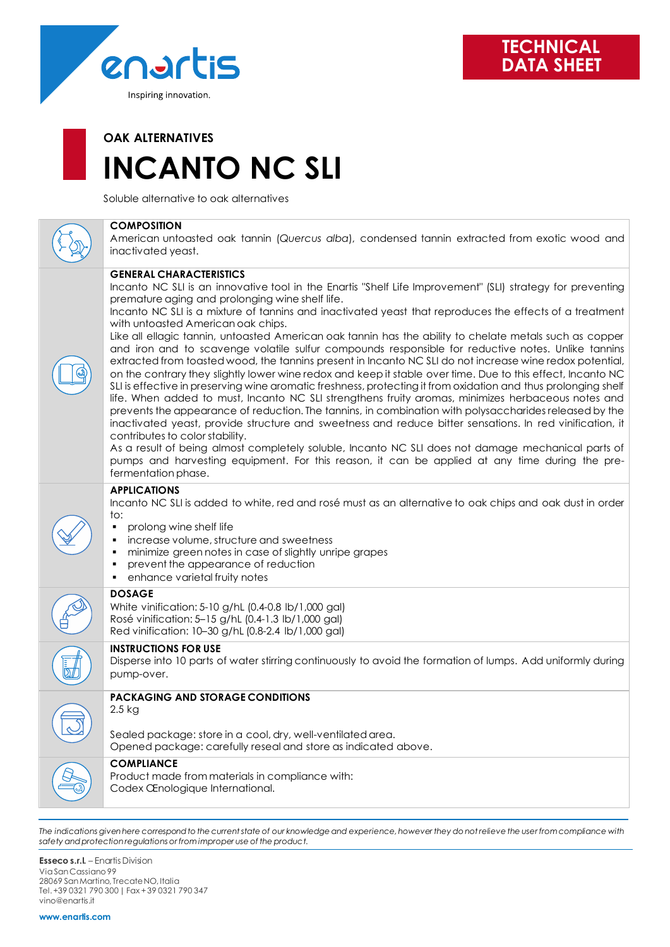

# **OAK ALTERNATIVES INCANTO NC SLI**

Soluble alternative to oak alternatives

### **COMPOSITION**

American untoasted oak tannin (*Quercus alba*), condensed tannin extracted from exotic wood and inactivated yeast.

#### **GENERAL CHARACTERISTICS**

Incanto NC SLI is an innovative tool in the Enartis "Shelf Life Improvement" (SLI) strategy for preventing premature aging and prolonging wine shelf life.

Incanto NC SLI is a mixture of tannins and inactivated yeast that reproduces the effects of a treatment with untoasted American oak chips.

Like all ellagic tannin, untoasted American oak tannin has the ability to chelate metals such as copper and iron and to scavenge volatile sulfur compounds responsible for reductive notes. Unlike tannins extracted from toasted wood, the tannins present in Incanto NC SLI do not increase wine redox potential, on the contrary they slightly lower wine redox and keep it stable over time. Due to this effect, Incanto NC SLI is effective in preserving wine aromatic freshness, protecting it from oxidation and thus prolonging shelf life. When added to must, Incanto NC SLI strengthens fruity aromas, minimizes herbaceous notes and prevents the appearance of reduction. The tannins, in combination with polysaccharides released by the inactivated yeast, provide structure and sweetness and reduce bitter sensations. In red vinification, it contributes to color stability.

As a result of being almost completely soluble, Incanto NC SLI does not damage mechanical parts of pumps and harvesting equipment. For this reason, it can be applied at any time during the prefermentation phase.

#### **APPLICATIONS**

Incanto NC SLI is added to white, red and rosé must as an alternative to oak chips and oak dust in order to:

- prolong wine shelf life
- increase volume, structure and sweetness
- minimize green notes in case of slightly unripe grapes
- prevent the appearance of reduction
- enhance varietal fruity notes

#### **DOSAGE**

White vinification: 5-10 g/hL (0.4-0.8 lb/1,000 gal) Rosé vinification: 5–15 g/hL (0.4-1.3 lb/1,000 gal) Red vinification: 10–30 g/hL (0.8-2.4 lb/1,000 gal)

#### **INSTRUCTIONS FOR USE**

Disperse into 10 parts of water stirring continuously to avoid the formation of lumps. Add uniformly during pump-over.

## **PACKAGING AND STORAGE CONDITIONS**

2.5 kg

Sealed package: store in a cool, dry, well-ventilated area. Opened package: carefully reseal and store as indicated above.

#### **COMPLIANCE**

Product made from materials in compliance with: Codex Œnologique International.

*The indications given here correspond to the current state of our knowledge and experience, however they do not relieve the user from compliance with safety and protection regulations or from improper use of the product.*

**Esseco s.r.l.** – Enartis Division Via San Cassiano 99 28069 San Martino, Trecate NO, Italia Tel. +39 0321 790 300 | Fax + 39 0321 790 347 vino@enartis.it

**www.enartis.com**